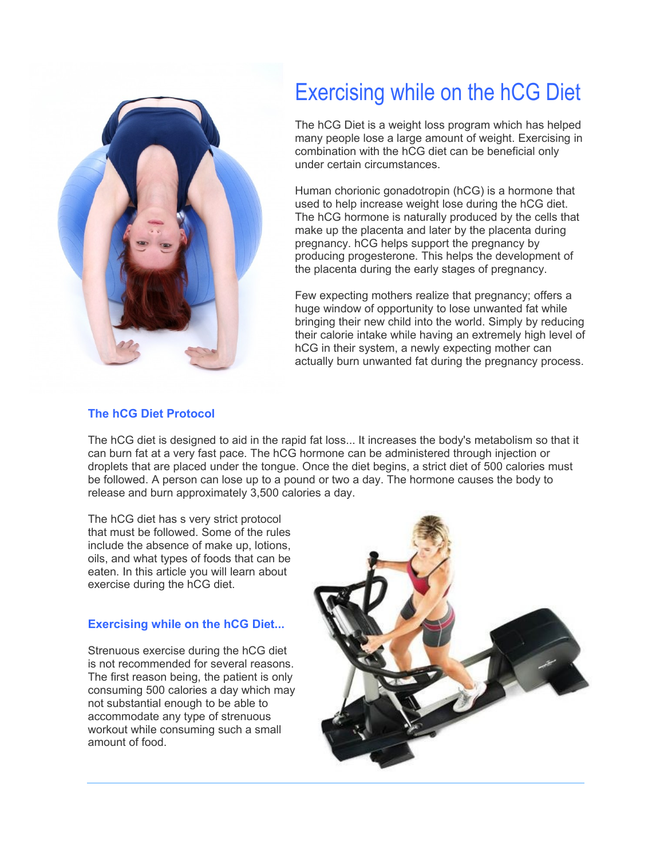

# Exercising while on the hCG Diet

The hCG Diet is a weight loss program which has helped many people lose a large amount of weight. Exercising in combination with the hCG diet can be beneficial only under certain circumstances.

Human chorionic gonadotropin (hCG) is a hormone that used to help increase weight lose during the hCG diet. The hCG hormone is naturally produced by the cells that make up the placenta and later by the placenta during pregnancy. hCG helps support the pregnancy by producing progesterone. This helps the development of the placenta during the early stages of pregnancy.

Few expecting mothers realize that pregnancy; offers a huge window of opportunity to lose unwanted fat while bringing their new child into the world. Simply by reducing their calorie intake while having an extremely high level of hCG in their system, a newly expecting mother can actually burn unwanted fat during the pregnancy process.

## **The hCG Diet Protocol**

The hCG diet is designed to aid in the rapid fat loss... It increases the body's metabolism so that it can burn fat at a very fast pace. The hCG hormone can be administered through injection or droplets that are placed under the tongue. Once the diet begins, a strict diet of 500 calories must be followed. A person can lose up to a pound or two a day. The hormone causes the body to release and burn approximately 3,500 calories a day.

The hCG diet has s very strict protocol that must be followed. Some of the rules include the absence of make up, lotions, oils, and what types of foods that can be eaten. In this article you will learn about exercise during the hCG diet.

## **Exercising while on the hCG Diet...**

Strenuous exercise during the hCG diet is not recommended for several reasons. The first reason being, the patient is only consuming 500 calories a day which may not substantial enough to be able to accommodate any type of strenuous workout while consuming such a small amount of food.